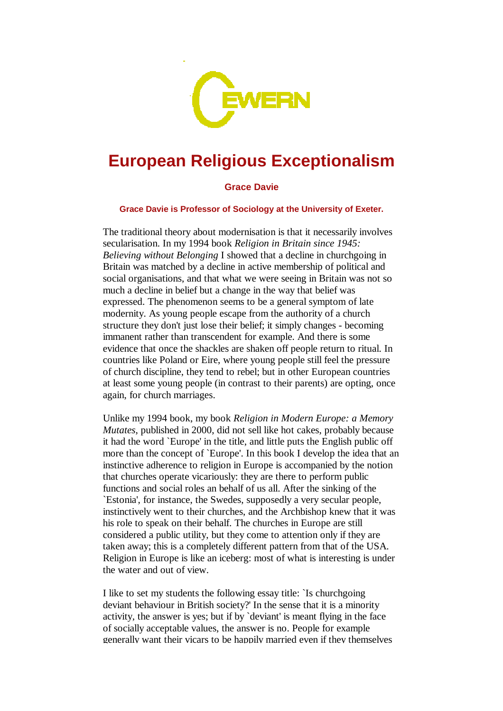

## **European Religious Exceptionalism**

## **Grace Davie**

**Grace Davie is Professor of Sociology at the University of Exeter.** 

The traditional theory about modernisation is that it necessarily involves secularisation. In my 1994 book *Religion in Britain since 1945: Believing without Belonging* I showed that a decline in churchgoing in Britain was matched by a decline in active membership of political and social organisations, and that what we were seeing in Britain was not so much a decline in belief but a change in the way that belief was expressed. The phenomenon seems to be a general symptom of late modernity. As young people escape from the authority of a church structure they don't just lose their belief; it simply changes - becoming immanent rather than transcendent for example. And there is some evidence that once the shackles are shaken off people return to ritual. In countries like Poland or Eire, where young people still feel the pressure of church discipline, they tend to rebel; but in other European countries at least some young people (in contrast to their parents) are opting, once again, for church marriages.

Unlike my 1994 book, my book *Religion in Modern Europe: a Memory Mutates*, published in 2000, did not sell like hot cakes, probably because it had the word `Europe' in the title, and little puts the English public off more than the concept of `Europe'. In this book I develop the idea that an instinctive adherence to religion in Europe is accompanied by the notion that churches operate vicariously: they are there to perform public functions and social roles an behalf of us all. After the sinking of the `Estonia', for instance, the Swedes, supposedly a very secular people, instinctively went to their churches, and the Archbishop knew that it was his role to speak on their behalf. The churches in Europe are still considered a public utility, but they come to attention only if they are taken away; this is a completely different pattern from that of the USA. Religion in Europe is like an iceberg: most of what is interesting is under the water and out of view.

I like to set my students the following essay title: `Is churchgoing deviant behaviour in British society?' In the sense that it is a minority activity, the answer is yes; but if by `deviant' is meant flying in the face of socially acceptable values, the answer is no. People for example generally want their vicars to be happily married even if they themselves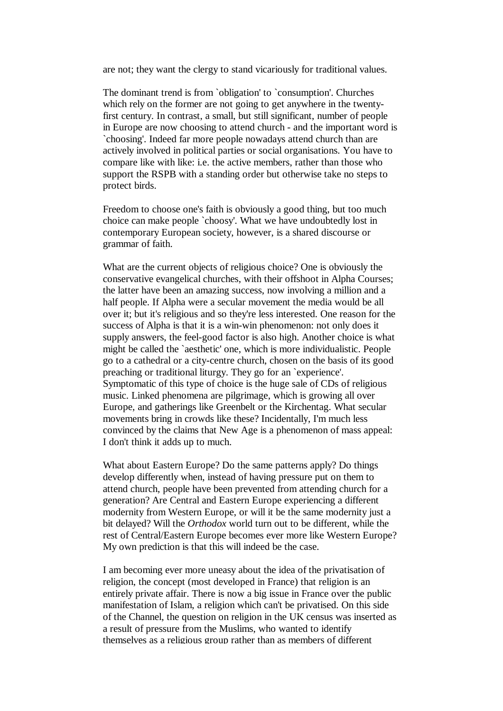are not; they want the clergy to stand vicariously for traditional values.

The dominant trend is from `obligation' to `consumption'. Churches which rely on the former are not going to get anywhere in the twentyfirst century. In contrast, a small, but still significant, number of people in Europe are now choosing to attend church - and the important word is `choosing'. Indeed far more people nowadays attend church than are actively involved in political parties or social organisations. You have to compare like with like: i.e. the active members, rather than those who support the RSPB with a standing order but otherwise take no steps to protect birds.

Freedom to choose one's faith is obviously a good thing, but too much choice can make people `choosy'. What we have undoubtedly lost in contemporary European society, however, is a shared discourse or grammar of faith.

What are the current objects of religious choice? One is obviously the conservative evangelical churches, with their offshoot in Alpha Courses; the latter have been an amazing success, now involving a million and a half people. If Alpha were a secular movement the media would be all over it; but it's religious and so they're less interested. One reason for the success of Alpha is that it is a win-win phenomenon: not only does it supply answers, the feel-good factor is also high. Another choice is what might be called the `aesthetic' one, which is more individualistic. People go to a cathedral or a city-centre church, chosen on the basis of its good preaching or traditional liturgy. They go for an `experience'. Symptomatic of this type of choice is the huge sale of CDs of religious music. Linked phenomena are pilgrimage, which is growing all over Europe, and gatherings like Greenbelt or the Kirchentag. What secular movements bring in crowds like these? Incidentally, I'm much less convinced by the claims that New Age is a phenomenon of mass appeal: I don't think it adds up to much.

What about Eastern Europe? Do the same patterns apply? Do things develop differently when, instead of having pressure put on them to attend church, people have been prevented from attending church for a generation? Are Central and Eastern Europe experiencing a different modernity from Western Europe, or will it be the same modernity just a bit delayed? Will the *Orthodox* world turn out to be different, while the rest of Central/Eastern Europe becomes ever more like Western Europe? My own prediction is that this will indeed be the case.

I am becoming ever more uneasy about the idea of the privatisation of religion, the concept (most developed in France) that religion is an entirely private affair. There is now a big issue in France over the public manifestation of Islam, a religion which can't be privatised. On this side of the Channel, the question on religion in the UK census was inserted as a result of pressure from the Muslims, who wanted to identify themselves as a religious group rather than as members of different